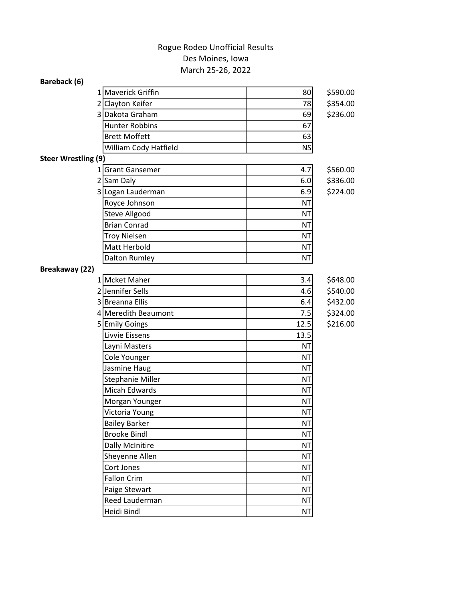## March 25-26, 2022 Des Moines, Iowa Rogue Rodeo Unofficial Results

| Bareback (6)               |                         |           |          |
|----------------------------|-------------------------|-----------|----------|
|                            | 1 Maverick Griffin      | 80        | \$590.00 |
|                            | 2 Clayton Keifer        | 78        | \$354.00 |
|                            | 3 Dakota Graham         | 69        | \$236.00 |
|                            | <b>Hunter Robbins</b>   | 67        |          |
|                            | <b>Brett Moffett</b>    | 63        |          |
|                            | William Cody Hatfield   | <b>NS</b> |          |
| <b>Steer Wrestling (9)</b> |                         |           |          |
|                            | 1 Grant Gansemer        | 4.7       | \$560.00 |
|                            | 2 Sam Daly              | 6.0       | \$336.00 |
|                            | 3 Logan Lauderman       | 6.9       | \$224.00 |
|                            | Royce Johnson           | <b>NT</b> |          |
|                            | Steve Allgood           | <b>NT</b> |          |
|                            | <b>Brian Conrad</b>     | ΝT        |          |
|                            | <b>Troy Nielsen</b>     | <b>NT</b> |          |
|                            | Matt Herbold            | <b>NT</b> |          |
|                            | Dalton Rumley           | <b>NT</b> |          |
| Breakaway (22)             |                         |           |          |
|                            | 1 Mcket Maher           | 3.4       | \$648.00 |
|                            | 2 Jennifer Sells        | 4.6       | \$540.00 |
|                            | 3 Breanna Ellis         | 6.4       | \$432.00 |
|                            | 4 Meredith Beaumont     | 7.5       | \$324.00 |
|                            | 5 Emily Goings          | 12.5      | \$216.00 |
|                            | Livvie Eissens          | 13.5      |          |
|                            | Layni Masters           | <b>NT</b> |          |
|                            | Cole Younger            | <b>NT</b> |          |
|                            | Jasmine Haug            | <b>NT</b> |          |
|                            | <b>Stephanie Miller</b> | ΝT        |          |
|                            | <b>Micah Edwards</b>    | <b>NT</b> |          |
|                            | Morgan Younger          | <b>NT</b> |          |
|                            | Victoria Young          | <b>NT</b> |          |
|                            | <b>Bailey Barker</b>    | <b>NT</b> |          |
|                            | <b>Brooke Bindl</b>     | <b>NT</b> |          |
|                            | <b>Dally McInitire</b>  | <b>NT</b> |          |
|                            | Sheyenne Allen          | <b>NT</b> |          |
|                            | Cort Jones              | <b>NT</b> |          |
|                            | <b>Fallon Crim</b>      | <b>NT</b> |          |
|                            | Paige Stewart           | <b>NT</b> |          |
|                            | Reed Lauderman          | <b>NT</b> |          |
|                            | Heidi Bindl             | <b>NT</b> |          |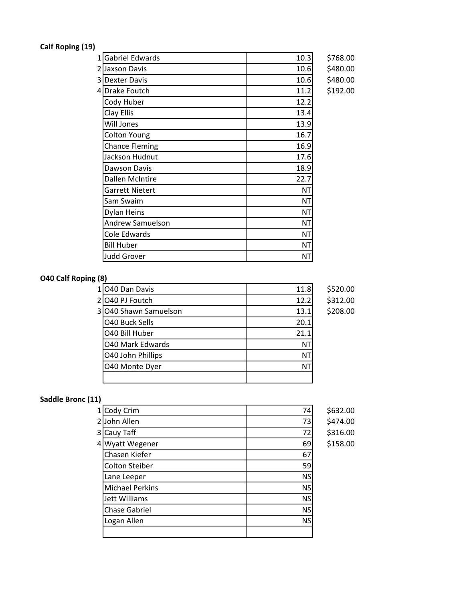## **Calf Roping (19)**

| 1 Gabriel Edwards       | 10.3 | \$768.00 |
|-------------------------|------|----------|
| 2 Jaxson Davis          | 10.6 | \$480.00 |
| 3 Dexter Davis          | 10.6 | \$480.00 |
| 4 Drake Foutch          | 11.2 | \$192.00 |
| Cody Huber              | 12.2 |          |
| Clay Ellis              | 13.4 |          |
| Will Jones              | 13.9 |          |
| <b>Colton Young</b>     | 16.7 |          |
| <b>Chance Fleming</b>   | 16.9 |          |
| Jackson Hudnut          | 17.6 |          |
| Dawson Davis            | 18.9 |          |
| Dallen McIntire         | 22.7 |          |
| Garrett Nietert         | ΝT   |          |
| Sam Swaim               | ΝT   |          |
| Dylan Heins             | ΝT   |          |
| <b>Andrew Samuelson</b> | NΤ   |          |
| Cole Edwards            | ΝT   |          |
| <b>Bill Huber</b>       | ΝT   |          |
| <b>Judd Grover</b>      | ΝT   |          |
|                         |      |          |

1 O40 Dan Davis 11.8 \$520.00 2 O40 PJ Foutch 12.2 \$312.00 3 O40 Shawn Samuelson 13.1 \$208.00

O40 Buck Sells 20.1 O40 Bill Huber 21.1 O40 Mark Edwards NT O40 John Phillips NT O40 Monte Dyer NT

## **Saddle Bronc (11)**

**O40 Calf Roping (8)**

|    | 1 Cody Crim            | 74        | \$632.00 |
|----|------------------------|-----------|----------|
|    | 2John Allen            | 73        | \$474.00 |
|    | 3 Cauy Taff            | 72        | \$316.00 |
| 41 | <b>Wyatt Wegener</b>   | 69        | \$158.00 |
|    | Chasen Kiefer          | 67        |          |
|    | <b>Colton Steiber</b>  | 59        |          |
|    | Lane Leeper            | <b>NS</b> |          |
|    | <b>Michael Perkins</b> | <b>NS</b> |          |
|    | <b>Jett Williams</b>   | <b>NS</b> |          |
|    | <b>Chase Gabriel</b>   | <b>NS</b> |          |
|    | Logan Allen            | <b>NS</b> |          |
|    |                        |           |          |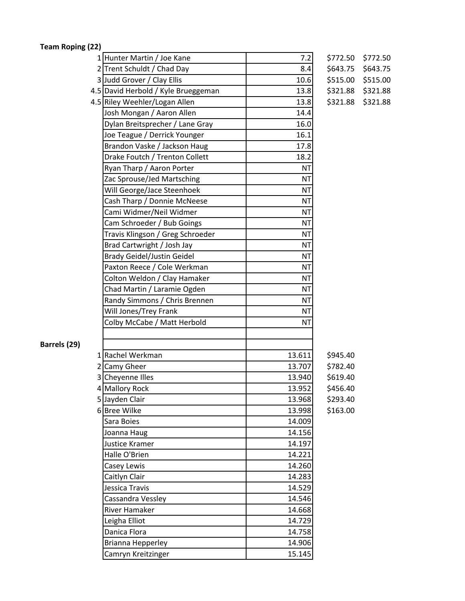**Team Roping (22)**

| 1 Hunter Martin / Joe Kane          | 7.2       | \$772.50 | \$772.50 |
|-------------------------------------|-----------|----------|----------|
| 2 Trent Schuldt / Chad Day          | 8.4       | \$643.75 | \$643.75 |
| 3 Judd Grover / Clay Ellis          | 10.6      | \$515.00 | \$515.00 |
| 4.5 David Herbold / Kyle Brueggeman | 13.8      | \$321.88 | \$321.88 |
| 4.5 Riley Weehler/Logan Allen       | 13.8      | \$321.88 | \$321.88 |
| Josh Mongan / Aaron Allen           | 14.4      |          |          |
| Dylan Breitsprecher / Lane Gray     | 16.0      |          |          |
| Joe Teague / Derrick Younger        | 16.1      |          |          |
| Brandon Vaske / Jackson Haug        | 17.8      |          |          |
| Drake Foutch / Trenton Collett      | 18.2      |          |          |
| Ryan Tharp / Aaron Porter           | <b>NT</b> |          |          |
| Zac Sprouse/Jed Martsching          | <b>NT</b> |          |          |
| Will George/Jace Steenhoek          | <b>NT</b> |          |          |
| Cash Tharp / Donnie McNeese         | <b>NT</b> |          |          |
| Cami Widmer/Neil Widmer             | <b>NT</b> |          |          |
| Cam Schroeder / Bub Goings          | <b>NT</b> |          |          |
| Travis Klingson / Greg Schroeder    | <b>NT</b> |          |          |
| Brad Cartwright / Josh Jay          | <b>NT</b> |          |          |
| <b>Brady Geidel/Justin Geidel</b>   | <b>NT</b> |          |          |
| Paxton Reece / Cole Werkman         | <b>NT</b> |          |          |
| Colton Weldon / Clay Hamaker        | <b>NT</b> |          |          |
| Chad Martin / Laramie Ogden         | <b>NT</b> |          |          |
| Randy Simmons / Chris Brennen       | <b>NT</b> |          |          |
| Will Jones/Trey Frank               | <b>NT</b> |          |          |
| Colby McCabe / Matt Herbold         | <b>NT</b> |          |          |
|                                     |           |          |          |
|                                     |           |          |          |
| 1 Rachel Werkman                    | 13.611    | \$945.40 |          |
| 2 Camy Gheer                        | 13.707    | \$782.40 |          |
| 3 Cheyenne Illes                    | 13.940    | \$619.40 |          |
| 4 Mallory Rock                      | 13.952    | \$456.40 |          |
| 5 Jayden Clair                      | 13.968    | \$293.40 |          |
| 6Bree Wilke                         | 13.998    | \$163.00 |          |
| Sara Boies                          | 14.009    |          |          |
| Joanna Haug                         | 14.156    |          |          |
| Justice Kramer                      | 14.197    |          |          |
| Halle O'Brien                       | 14.221    |          |          |
| Casey Lewis                         | 14.260    |          |          |
| Caitlyn Clair                       | 14.283    |          |          |
| Jessica Travis                      | 14.529    |          |          |
| Cassandra Vessley                   | 14.546    |          |          |
| <b>River Hamaker</b>                | 14.668    |          |          |
| Leigha Elliot                       | 14.729    |          |          |
| Danica Flora                        | 14.758    |          |          |
| Brianna Hepperley                   | 14.906    |          |          |
| Camryn Kreitzinger                  | 15.145    |          |          |
|                                     |           |          |          |

**Barrels (29)**